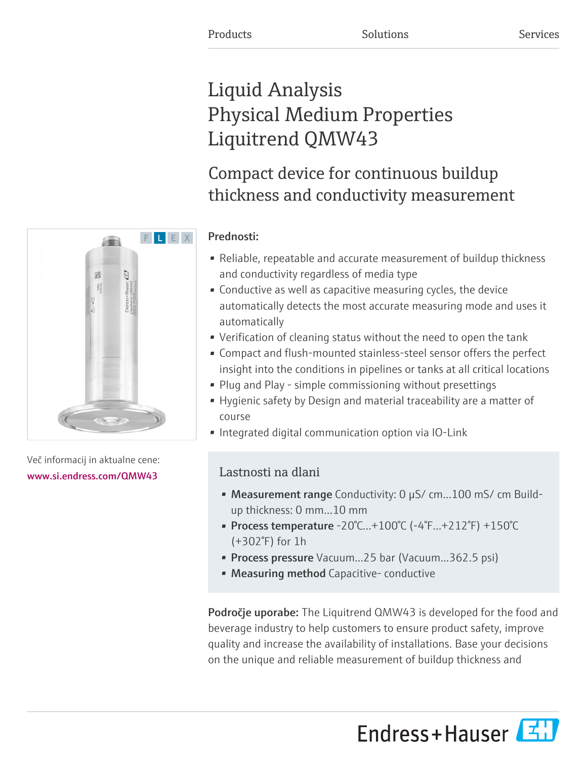# Liquid Analysis Physical Medium Properties Liquitrend QMW43

# Compact device for continuous buildup thickness and conductivity measurement

# Prednosti:

- Reliable, repeatable and accurate measurement of buildup thickness and conductivity regardless of media type
- Conductive as well as capacitive measuring cycles, the device automatically detects the most accurate measuring mode and uses it automatically
- Verification of cleaning status without the need to open the tank
- Compact and flush-mounted stainless-steel sensor offers the perfect insight into the conditions in pipelines or tanks at all critical locations
- Plug and Play simple commissioning without presettings
- Hygienic safety by Design and material traceability are a matter of course
- Integrated digital communication option via IO-Link

# Lastnosti na dlani

- Measurement range Conductivity: 0 µS/ cm...100 mS/ cm Buildup thickness: 0 mm…10 mm
- Process temperature -20°C...+100°C (-4°F...+212°F) +150°C (+302°F) for 1h
- Process pressure Vacuum...25 bar (Vacuum...362.5 psi)
- Measuring method Capacitive- conductive

Področje uporabe: The Liquitrend QMW43 is developed for the food and beverage industry to help customers to ensure product safety, improve quality and increase the availability of installations. Base your decisions on the unique and reliable measurement of buildup thickness and





Več informacij in aktualne cene: [www.si.endress.com/QMW43](https://www.si.endress.com/QMW43)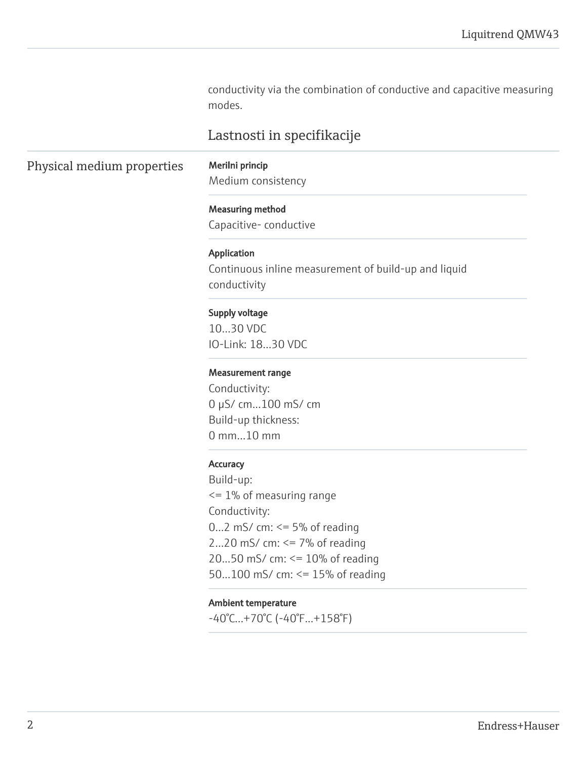conductivity via the combination of conductive and capacitive measuring modes.

## Lastnosti in specifikacije

## Physical medium properties Merilni princip

Medium consistency

Measuring method

Capacitive- conductive

#### Application

Continuous inline measurement of build-up and liquid conductivity

#### Supply voltage

10…30 VDC IO-Link: 18…30 VDC

#### Measurement range

Conductivity: 0 µS/ cm...100 mS/ cm Build-up thickness: 0 mm…10 mm

#### **Accuracy**

Build-up: <= 1% of measuring range Conductivity: 0...2 mS/ cm:  $\leq$  5% of reading 2...20 mS/ cm:  $\leq$  7% of reading 20...50 mS/ cm: <= 10% of reading 50...100 mS/ cm: <= 15% of reading

#### Ambient temperature

-40°C…+70°C (-40°F...+158°F)